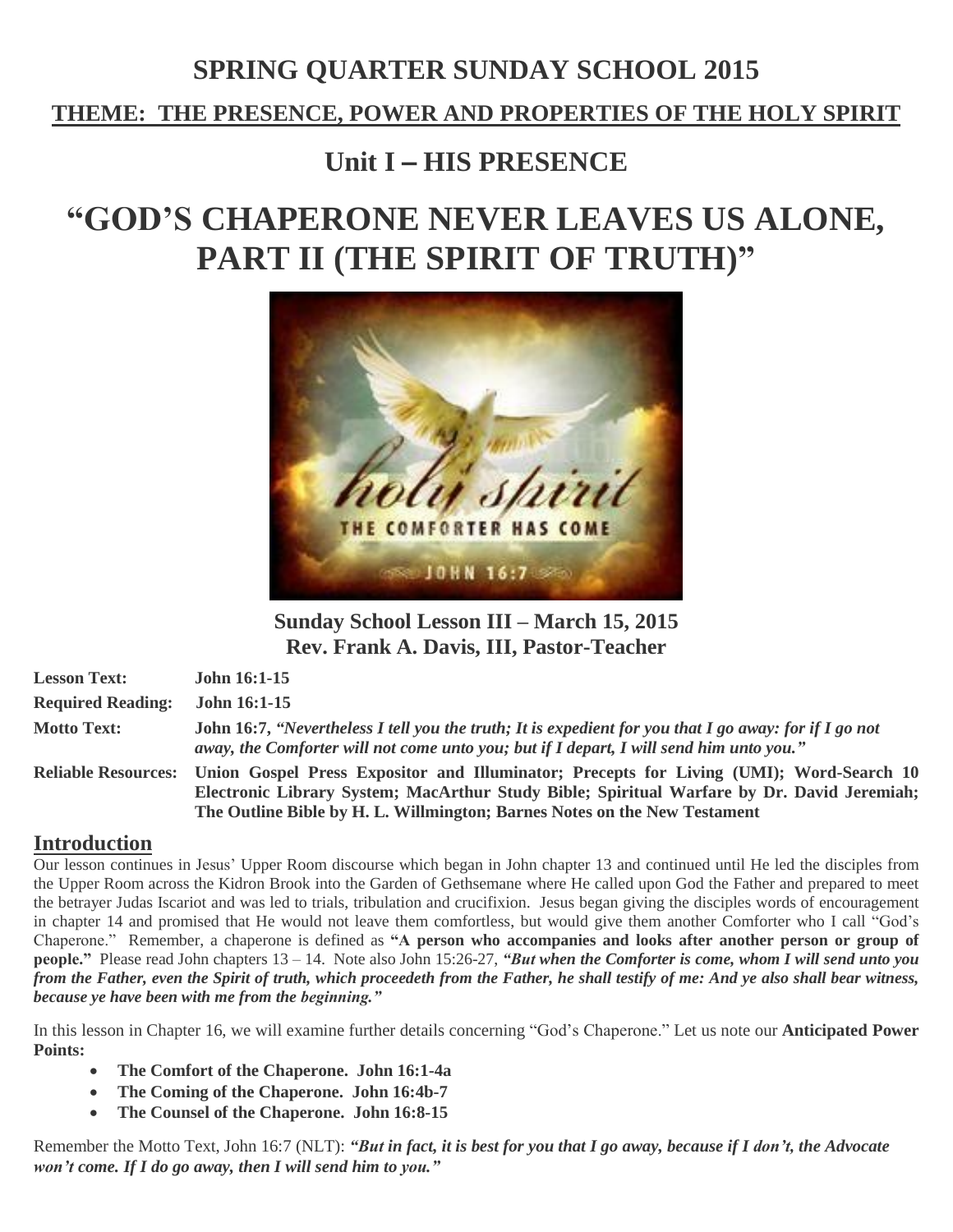# **SPRING QUARTER SUNDAY SCHOOL 2015**

**THEME: THE PRESENCE, POWER AND PROPERTIES OF THE HOLY SPIRIT** 

# **Unit I** – **HIS PRESENCE**

# **"GOD'S CHAPERONE NEVER LEAVES US ALONE, PART II (THE SPIRIT OF TRUTH)"**



**Sunday School Lesson III – March 15, 2015 Rev. Frank A. Davis, III, Pastor-Teacher**

| <b>Lesson Text:</b>      | <b>John 16:1-15</b>                                                                                                                                                                                       |
|--------------------------|-----------------------------------------------------------------------------------------------------------------------------------------------------------------------------------------------------------|
| <b>Required Reading:</b> | John 16:1-15                                                                                                                                                                                              |
| <b>Motto Text:</b>       | John 16:7, "Nevertheless I tell you the truth; It is expedient for you that I go away: for if I go not<br>away, the Comforter will not come unto you; but if I depart, I will send him unto you."         |
|                          | Reliable Resources: Union Gospel Press Expositor and Illuminator; Precepts for Living (UMI); Word-Search 10<br>Electronic Library System; MacArthur Study Bible; Spiritual Warfare by Dr. David Jeremiah; |

**The Outline Bible by H. L. Willmington; Barnes Notes on the New Testament**

# **Introduction**

Our lesson continues in Jesus' Upper Room discourse which began in John chapter 13 and continued until He led the disciples from the Upper Room across the Kidron Brook into the Garden of Gethsemane where He called upon God the Father and prepared to meet the betrayer Judas Iscariot and was led to trials, tribulation and crucifixion. Jesus began giving the disciples words of encouragement in chapter 14 and promised that He would not leave them comfortless, but would give them another Comforter who I call "God's Chaperone." Remember, a chaperone is defined as **"A person who accompanies and looks after another person or group of people."** Please read John chapters 13 – 14. Note also John 15:26-27, *"But when the Comforter is come, whom I will send unto you* from the Father, even the Spirit of truth, which proceedeth from the Father, he shall testify of me: And ye also shall bear witness, *because ye have been with me from the beginning."*

In this lesson in Chapter 16, we will examine further details concerning "God's Chaperone." Let us note our **Anticipated Power Points:**

- **The Comfort of the Chaperone. John 16:1-4a**
- **The Coming of the Chaperone. John 16:4b-7**
- **The Counsel of the Chaperone. John 16:8-15**

Remember the Motto Text, John 16:7 (NLT): "But in fact, it is best for you that I go away, because if I don't, the Advocate *won't come. If I do go away, then I will send him to you."*